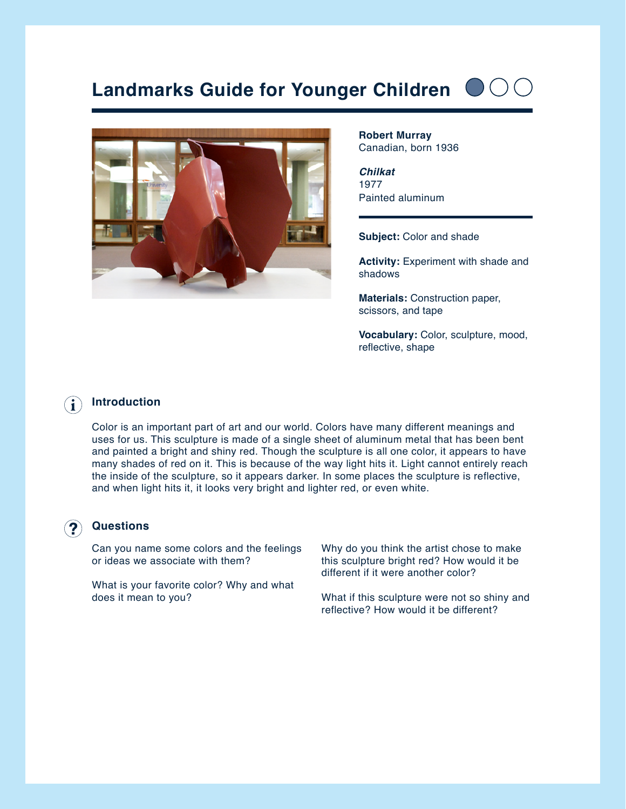# **Landmarks Guide for Younger Children**



**Robert Murray** Canadian, born 1936

*Chilkat* 1977 Painted aluminum

**Subject:** Color and shade

**Activity: Experiment with shade and** shadows

**Materials:** Construction paper, scissors, and tape

**Vocabulary:** Color, sculpture, mood, reflective, shape

### **Introduction**  $(i)$

Color is an important part of art and our world. Colors have many different meanings and uses for us. This sculpture is made of a single sheet of aluminum metal that has been bent and painted a bright and shiny red. Though the sculpture is all one color, it appears to have many shades of red on it. This is because of the way light hits it. Light cannot entirely reach the inside of the sculpture, so it appears darker. In some places the sculpture is reflective, and when light hits it, it looks very bright and lighter red, or even white.

### **Questions**

Can you name some colors and the feelings or ideas we associate with them?

What is your favorite color? Why and what does it mean to you?

Why do you think the artist chose to make this sculpture bright red? How would it be different if it were another color?

What if this sculpture were not so shiny and reflective? How would it be different?